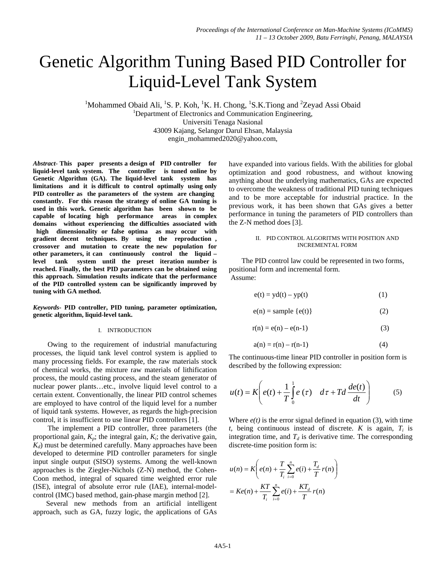# Genetic Algorithm Tuning Based PID Controller for Liquid-Level Tank System

<sup>1</sup>Mohammed Obaid Ali, <sup>1</sup>S. P. Koh, <sup>1</sup>K. H. Chong, <sup>1</sup>S.K.Tiong and <sup>2</sup>Zeyad Assi Obaid <sup>1</sup> <sup>1</sup>Department of Electronics and Communication Engineering, Universiti Tenaga Nasional 43009 Kajang, Selangor Darul Ehsan, Malaysia engin\_mohammed2020@yahoo.com,

*Abstract-* **This paper presents a design of PID controller for liquid-level tank system. The controller is tuned online by Genetic Algorithm (GA). The liquid-level tank system has limitations and it is difficult to control optimally using only PID controller as the parameters of the system are changing constantly. For this reason the strategy of online GA tuning is used in this work. Genetic algorithm has been shown to be capable of locating high performance areas in complex domains without experiencing the difficulties associated with high dimensionality or false optima as may occur with gradient decent techniques. By using the reproduction , crossover and mutation to create the new population for other parameters, it can continuously control the liquid – level tank system until the preset iteration number is reached. Finally, the best PID parameters can be obtained using this approach. Simulation results indicate that the performance of the PID controlled system can be significantly improved by tuning with GA method.** 

*Keywords-* **PID controller, PID tuning, parameter optimization, genetic algorithm, liquid-level tank.** 

#### I. INTRODUCTION

 Owing to the requirement of industrial manufacturing processes, the liquid tank level control system is applied to many processing fields. For example, the raw materials stock of chemical works, the mixture raw materials of lithification process, the mould casting process, and the steam generator of nuclear power plants…etc., involve liquid level control to a certain extent. Conventionally, the linear PID control schemes are employed to have control of the liquid level for a number of liquid tank systems. However, as regards the high-precision control, it is insufficient to use linear PID controllers [1].

 The implement a PID controller, three parameters (the proportional gain,  $K_p$ ; the integral gain,  $K_i$ ; the derivative gain,  $K_d$ ) must be determined carefully. Many approaches have been developed to determine PID controller parameters for single input single output (SISO) systems. Among the well-known approaches is the Ziegler-Nichols (Z-N) method, the Cohen-Coon method, integral of squared time weighted error rule (ISE), integral of absolute error rule (IAE), internal-modelcontrol (IMC) based method, gain-phase margin method [2].

Several new methods from an artificial intelligent approach, such as GA, fuzzy logic, the applications of GAs have expanded into various fields. With the abilities for global optimization and good robustness, and without knowing anything about the underlying mathematics, GAs are expected to overcome the weakness of traditional PID tuning techniques and to be more acceptable for industrial practice. In the previous work, it has been shown that GAs gives a better performance in tuning the parameters of PID controllers than the Z-N method does [3].

#### II. PID CONTROL ALGORITMS WITH POSITION AND INCREMENTAL FORM

 The PID control law could be represented in two forms, positional form and incremental form. Assume:

$$
e(t) = yd(t) - yp(t)
$$
 (1)

$$
e(n) = sample \{e(t)\}\tag{2}
$$

$$
r(n) = e(n) - e(n-1)
$$
 (3)

$$
a(n) = r(n) - r(n-1)
$$
 (4)

The continuous-time linear PID controller in position form is described by the following expression:

$$
u(t) = K \left( e(t) + \frac{1}{T} \int_{0}^{1} e(\tau) \, d\tau + T d \frac{de(t)}{dt} \right) \tag{5}
$$

Where  $e(t)$  is the error signal defined in equation (3), with time  $t$ , being continuous instead of discrete.  $K$  is again,  $T_i$  is integration time, and  $T_d$  is derivative time. The corresponding discrete-time position form is:

$$
u(n) = K\left(e(n) + \frac{T}{T_i} \sum_{i=0}^{n} e(i) + \frac{T_d}{T} r(n)\right)
$$
  
=  $Ke(n) + \frac{KT}{T_i} \sum_{i=0}^{n} e(i) + \frac{KT_d}{T} r(n)$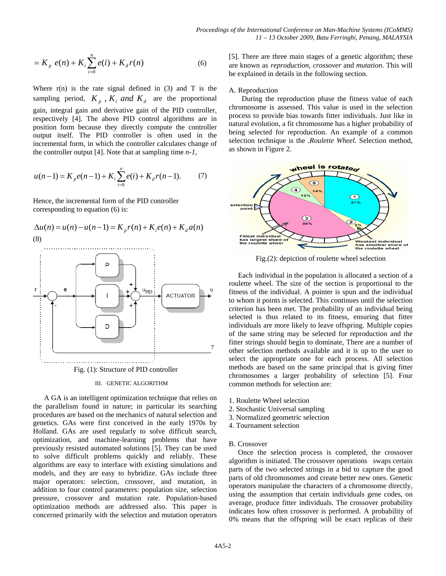$$
=K_p e(n) + K_i \sum_{i=0}^{n} e(i) + K_d r(n) \tag{6}
$$

Where  $r(n)$  is the rate signal defined in (3) and T is the sampling period,  $K_p$ ,  $K_i$  *and*  $K_d$  are the proportional gain, integral gain and derivative gain of the PID controller, respectively [4]. The above PID control algorithms are in position form because they directly compute the controller output itself. The PID controller is often used in the incremental form, in which the controller calculates change of the controller output [4]. Note that at sampling time *n-1*,

$$
u(n-1) = K_p e(n-1) + K_i \sum_{i=0}^{n} e(i) + K_d r(n-1).
$$
 (7)

Hence, the incremental form of the PID controller corresponding to equation (6) is:



#### III. GENETIC ALGORITHM

 A GA is an intelligent optimization technique that relies on the parallelism found in nature; in particular its searching procedures are based on the mechanics of natural selection and genetics. GAs were first conceived in the early 1970s by Holland. GAs are used regularly to solve difficult search, optimization, and machine-learning problems that have previously resisted automated solutions [5]. They can be used to solve difficult problems quickly and reliably. These algorithms are easy to interface with existing simulations and models, and they are easy to hybridize. GAs include three major operators: selection, crossover, and mutation, in addition to four control parameters: population size, selection pressure, crossover and mutation rate. Population-based optimization methods are addressed also. This paper is concerned primarily with the selection and mutation operators

[5]. There are three main stages of a genetic algorithm; these are known as *reproduction, crossover* and *mutation*. This will be explained in details in the following section.

#### A. Reproduction

 During the reproduction phase the fitness value of each chromosome is assessed. This value is used in the selection process to provide bias towards fitter individuals. Just like in natural evolution, a fit chromosome has a higher probability of being selected for reproduction. An example of a common selection technique is the .*Roulette Wheel.* Selection method, as shown in Figure 2.



Fig.(2): depiction of roulette wheel selection

 Each individual in the population is allocated a section of a roulette wheel. The size of the section is proportional to the fitness of the individual. A pointer is spun and the individual to whom it points is selected. This continues until the selection criterion has been met. The probability of an individual being selected is thus related to its fitness, ensuring that fitter individuals are more likely to leave offspring. Multiple copies of the same string may be selected for reproduction and the fitter strings should begin to dominate, There are a number of other selection methods available and it is up to the user to select the appropriate one for each process. All selection methods are based on the same principal that is giving fitter chromosomes a larger probability of selection [5]. Four common methods for selection are:

- 1. Roulette Wheel selection
- 2. Stochastic Universal sampling
- 3. Normalized geometric selection
- 4. Tournament selection

## B. Crossover

 Once the selection process is completed, the crossover algorithm is initiated. The crossover operations swaps certain parts of the two selected strings in a bid to capture the good parts of old chromosomes and create better new ones. Genetic operators manipulate the characters of a chromosome directly, using the assumption that certain individuals gene codes, on average, produce fitter individuals. The crossover probability indicates how often crossover is performed. A probability of 0% means that the offspring will be exact replicas of their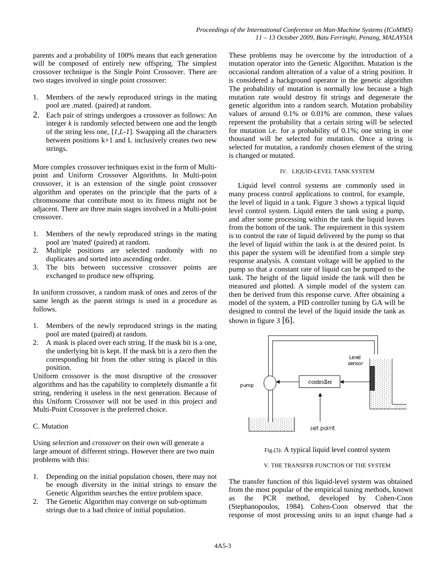parents and a probability of 100% means that each generation will be composed of entirely new offspring. The simplest crossover technique is the Single Point Crossover. There are two stages involved in single point crossover:

- 1. Members of the newly reproduced strings in the mating pool are .mated. (paired) at random.
- 2. Each pair of strings undergoes a crossover as follows: An integer *k* is randomly selected between one and the length of the string less one, [*1,L-1*]. Swapping all the characters between positions  $k+1$  and L inclusively creates two new strings.

More complex crossover techniques exist in the form of Multipoint and Uniform Crossover Algorithms. In Multi-point crossover, it is an extension of the single point crossover algorithm and operates on the principle that the parts of a chromosome that contribute most to its fitness might not be adjacent. There are three main stages involved in a Multi-point crossover.

- 1. Members of the newly reproduced strings in the mating pool are 'mated' (paired) at random.
- 2. Multiple positions are selected randomly with no duplicates and sorted into ascending order.
- 3. The bits between successive crossover points are exchanged to produce new offspring.

In uniform crossover, a random mask of ones and zeros of the same length as the parent strings is used in a procedure as follows.

- 1. Members of the newly reproduced strings in the mating pool are mated (paired) at random.
- 2. A mask is placed over each string. If the mask bit is a one, the underlying bit is kept. If the mask bit is a zero then the corresponding bit from the other string is placed in this position.

Uniform crossover is the most disruptive of the crossover algorithms and has the capability to completely dismantle a fit string, rendering it useless in the next generation. Because of this Uniform Crossover will not be used in this project and Multi-Point Crossover is the preferred choice.

# C. Mutation

Using *selection* and *crossover* on their own will generate a large amount of different strings. However there are two main problems with this:

- 1. Depending on the initial population chosen, there may not be enough diversity in the initial strings to ensure the Genetic Algorithm searches the entire problem space.
- 2. The Genetic Algorithm may converge on sub-optimum strings due to a bad choice of initial population.

These problems may be overcome by the introduction of a mutation operator into the Genetic Algorithm. Mutation is the occasional random alteration of a value of a string position. It is considered a background operator in the genetic algorithm The probability of mutation is normally low because a high mutation rate would destroy fit strings and degenerate the genetic algorithm into a random search. Mutation probability values of around 0.1% or 0.01% are common, these values represent the probability that a certain string will be selected for mutation i.e. for a probability of 0.1%; one string in one thousand will be selected for mutation. Once a string is selected for mutation, a randomly chosen element of the string is changed or mutated.

## IV. LIQUID-LEVEL TANK SYSTEM

 Liquid level control systems are commonly used in many process control applications to control, for example, the level of liquid in a tank. Figure 3 shows a typical liquid level control system. Liquid enters the tank using a pump, and after some processing within the tank the liquid leaves from the bottom of the tank. The requirement in this system is to control the rate of liquid delivered by the pump so that the level of liquid within the tank is at the desired point. In this paper the system will be identified from a simple step response analysis. A constant voltage will be applied to the pump so that a constant rate of liquid can be pumped to the tank. The height of the liquid inside the tank will then be measured and plotted. A simple model of the system can then be derived from this response curve. After obtaining a model of the system, a PID controller tuning by GA will be designed to control the level of the liquid inside the tank as shown in figure  $3 \mid 6$ .



Fig.(3): A typical liquid level control system

## V. THE TRANSFER FUNCTION OF THE SYSTEM

The transfer function of this liquid-level system was obtained from the most popular of the empirical tuning methods, known as the PCR method, developed by Cohen-Coon (Stephanopoulos, 1984). Cohen-Coon observed that the response of most processing units to an input change had a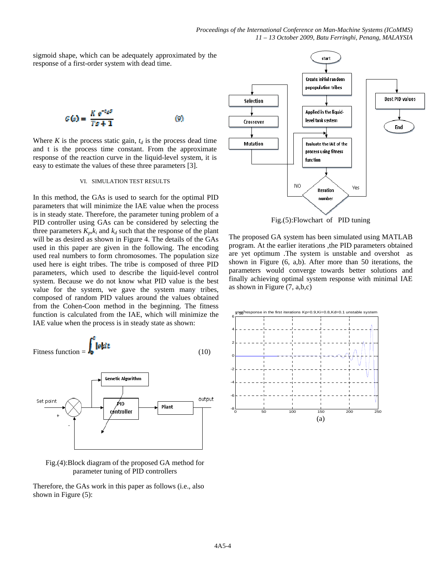sigmoid shape, which can be adequately approximated by the response of a first-order system with dead time.

$$
G(s) = \frac{K e^{-t_0 s}}{Ts + 1} \tag{9}
$$

Where  $K$  is the process static gain,  $t_d$  is the process dead time and t is the process time constant. From the approximate response of the reaction curve in the liquid-level system, it is easy to estimate the values of these three parameters [3].

## VI. SIMULATION TEST RESULTS

In this method, the GAs is used to search for the optimal PID parameters that will minimize the IAE value when the process is in steady state. Therefore, the parameter tuning problem of a PID controller using GAs can be considered by selecting the three parameters  $K_p, k_i$  and  $k_d$  such that the response of the plant will be as desired as shown in Figure 4. The details of the GAs used in this paper are given in the following. The encoding used real numbers to form chromosomes. The population size used here is eight tribes. The tribe is composed of three PID parameters, which used to describe the liquid-level control system. Because we do not know what PID value is the best value for the system, we gave the system many tribes, composed of random PID values around the values obtained from the Cohen-Coon method in the beginning. The fitness function is calculated from the IAE, which will minimize the IAE value when the process is in steady state as shown:





# Fig.(4):Block diagram of the proposed GA method for parameter tuning of PID controllers

Therefore, the GAs work in this paper as follows (i.e., also shown in Figure (5):



Fig.(5):Flowchart of PID tuning

The proposed GA system has been simulated using MATLAB program. At the earlier iterations ,the PID parameters obtained are yet optimum .The system is unstable and overshot as shown in Figure (6, a,b). After more than 50 iterations, the parameters would converge towards better solutions and finally achieving optimal system response with minimal IAE as shown in Figure (7, a,b,c)